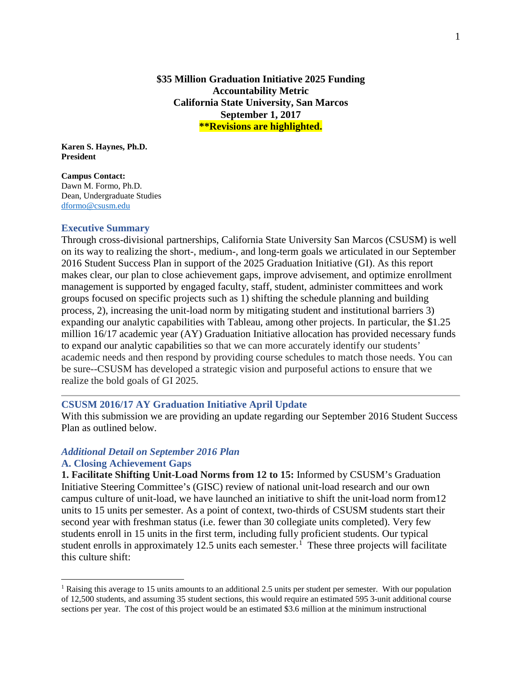**\$35 Million Graduation Initiative 2025 Funding Accountability Metric California State University, San Marcos September 1, 2017 \*\*Revisions are highlighted.** 

**Karen S. Haynes, Ph.D. President** 

**Campus Contact:** Dawn M. Formo, Ph.D. Dean, Undergraduate Studies [dformo@csusm.edu](mailto:dformo@csusm.edu)

#### **Executive Summary**

Through cross-divisional partnerships, California State University San Marcos (CSUSM) is well on its way to realizing the short-, medium-, and long-term goals we articulated in our September 2016 Student Success Plan in support of the 2025 Graduation Initiative (GI). As this report makes clear, our plan to close achievement gaps, improve advisement, and optimize enrollment management is supported by engaged faculty, staff, student, administer committees and work groups focused on specific projects such as 1) shifting the schedule planning and building process, 2), increasing the unit-load norm by mitigating student and institutional barriers 3) expanding our analytic capabilities with Tableau, among other projects. In particular, the \$1.25 million 16/17 academic year (AY) Graduation Initiative allocation has provided necessary funds to expand our analytic capabilities so that we can more accurately identify our students' academic needs and then respond by providing course schedules to match those needs. You can be sure--CSUSM has developed a strategic vision and purposeful actions to ensure that we realize the bold goals of GI 2025.

### **CSUSM 2016/17 AY Graduation Initiative April Update**

With this submission we are providing an update regarding our September 2016 Student Success Plan as outlined below.

### *Additional Detail on September 2016 Plan*

### **A. Closing Achievement Gaps**

**1. Facilitate Shifting Unit-Load Norms from 12 to 15:** Informed by CSUSM's Graduation Initiative Steering Committee's (GISC) review of national unit-load research and our own campus culture of unit-load, we have launched an initiative to shift the unit-load norm from12 units to 15 units per semester. As a point of context, two-thirds of CSUSM students start their second year with freshman status (i.e. fewer than 30 collegiate units completed). Very few students enroll in 15 units in the first term, including fully proficient students. Our typical student enrolls in approximately [1](#page-0-0)2.5 units each semester.<sup>1</sup> These three projects will facilitate this culture shift:

<span id="page-0-0"></span><sup>&</sup>lt;sup>1</sup> Raising this average to 15 units amounts to an additional 2.5 units per student per semester. With our population of 12,500 students, and assuming 35 student sections, this would require an estimated 595 3-unit additional course sections per year. The cost of this project would be an estimated \$3.6 million at the minimum instructional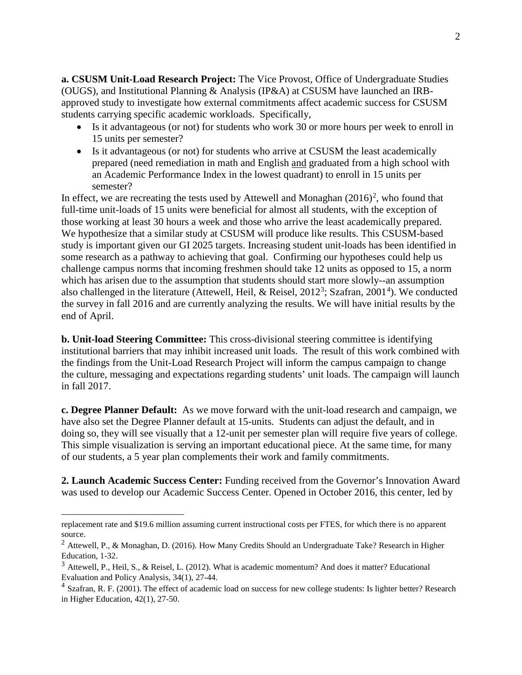**a. CSUSM Unit-Load Research Project:** The Vice Provost, Office of Undergraduate Studies (OUGS), and Institutional Planning & Analysis (IP&A) at CSUSM have launched an IRBapproved study to investigate how external commitments affect academic success for CSUSM students carrying specific academic workloads. Specifically,

- Is it advantageous (or not) for students who work 30 or more hours per week to enroll in 15 units per semester?
- Is it advantageous (or not) for students who arrive at CSUSM the least academically prepared (need remediation in math and English and graduated from a high school with an Academic Performance Index in the lowest quadrant) to enroll in 15 units per semester?

In effect, we are recreating the tests used by Attewell and Monaghan  $(2016)^2$  $(2016)^2$  $(2016)^2$ , who found that full-time unit-loads of 15 units were beneficial for almost all students, with the exception of those working at least 30 hours a week and those who arrive the least academically prepared. We hypothesize that a similar study at CSUSM will produce like results. This CSUSM-based study is important given our GI 2025 targets. Increasing student unit-loads has been identified in some research as a pathway to achieving that goal. Confirming our hypotheses could help us challenge campus norms that incoming freshmen should take 12 units as opposed to 15, a norm which has arisen due to the assumption that students should start more slowly--an assumption also challenged in the literature (Attewell, Heil, & Reisel,  $2012<sup>3</sup>$  $2012<sup>3</sup>$  $2012<sup>3</sup>$ ; Szafran,  $2001<sup>4</sup>$  $2001<sup>4</sup>$  $2001<sup>4</sup>$ ). We conducted the survey in fall 2016 and are currently analyzing the results. We will have initial results by the end of April.

**b. Unit-load Steering Committee:** This cross-divisional steering committee is identifying institutional barriers that may inhibit increased unit loads. The result of this work combined with the findings from the Unit-Load Research Project will inform the campus campaign to change the culture, messaging and expectations regarding students' unit loads. The campaign will launch in fall 2017.

**c. Degree Planner Default:** As we move forward with the unit-load research and campaign, we have also set the Degree Planner default at 15-units. Students can adjust the default, and in doing so, they will see visually that a 12-unit per semester plan will require five years of college. This simple visualization is serving an important educational piece. At the same time, for many of our students, a 5 year plan complements their work and family commitments.

**2. Launch Academic Success Center:** Funding received from the Governor's Innovation Award was used to develop our Academic Success Center. Opened in October 2016, this center, led by

replacement rate and \$19.6 million assuming current instructional costs per FTES, for which there is no apparent source.

<span id="page-1-0"></span><sup>2</sup> Attewell, P., & Monaghan, D. (2016). How Many Credits Should an Undergraduate Take? Research in Higher Education, 1-32.

<span id="page-1-1"></span><sup>&</sup>lt;sup>3</sup> Attewell, P., Heil, S., & Reisel, L. (2012). What is academic momentum? And does it matter? Educational Evaluation and Policy Analysis, 34(1), 27-44.

<span id="page-1-2"></span> $<sup>4</sup>$  Szafran, R. F. (2001). The effect of academic load on success for new college students: Is lighter better? Research</sup> in Higher Education, 42(1), 27-50.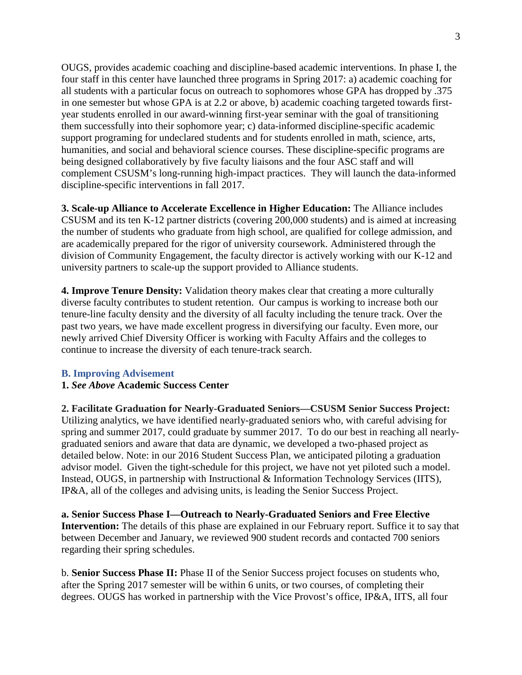OUGS, provides academic coaching and discipline-based academic interventions. In phase I, the four staff in this center have launched three programs in Spring 2017: a) academic coaching for all students with a particular focus on outreach to sophomores whose GPA has dropped by .375 in one semester but whose GPA is at 2.2 or above, b) academic coaching targeted towards firstyear students enrolled in our award-winning first-year seminar with the goal of transitioning them successfully into their sophomore year; c) data-informed discipline-specific academic support programing for undeclared students and for students enrolled in math, science, arts, humanities, and social and behavioral science courses. These discipline-specific programs are being designed collaboratively by five faculty liaisons and the four ASC staff and will complement CSUSM's long-running high-impact practices. They will launch the data-informed discipline-specific interventions in fall 2017.

**3. Scale-up Alliance to Accelerate Excellence in Higher Education:** The Alliance includes CSUSM and its ten K-12 partner districts (covering 200,000 students) and is aimed at increasing the number of students who graduate from high school, are qualified for college admission, and are academically prepared for the rigor of university coursework. Administered through the division of Community Engagement, the faculty director is actively working with our K-12 and university partners to scale-up the support provided to Alliance students.

**4. Improve Tenure Density:** Validation theory makes clear that creating a more culturally diverse faculty contributes to student retention. Our campus is working to increase both our tenure-line faculty density and the diversity of all faculty including the tenure track. Over the past two years, we have made excellent progress in diversifying our faculty. Even more, our newly arrived Chief Diversity Officer is working with Faculty Affairs and the colleges to continue to increase the diversity of each tenure-track search.

# **B. Improving Advisement**

# **1.** *See Above* **Academic Success Center**

**2. Facilitate Graduation for Nearly-Graduated Seniors—CSUSM Senior Success Project:**  Utilizing analytics, we have identified nearly-graduated seniors who, with careful advising for spring and summer 2017, could graduate by summer 2017. To do our best in reaching all nearlygraduated seniors and aware that data are dynamic, we developed a two-phased project as detailed below. Note: in our 2016 Student Success Plan, we anticipated piloting a graduation advisor model. Given the tight-schedule for this project, we have not yet piloted such a model. Instead, OUGS, in partnership with Instructional & Information Technology Services (IITS), IP&A, all of the colleges and advising units, is leading the Senior Success Project.

**a. Senior Success Phase I—Outreach to Nearly-Graduated Seniors and Free Elective Intervention:** The details of this phase are explained in our February report. Suffice it to say that between December and January, we reviewed 900 student records and contacted 700 seniors regarding their spring schedules.

b. **Senior Success Phase II:** Phase II of the Senior Success project focuses on students who, after the Spring 2017 semester will be within 6 units, or two courses, of completing their degrees. OUGS has worked in partnership with the Vice Provost's office, IP&A, IITS, all four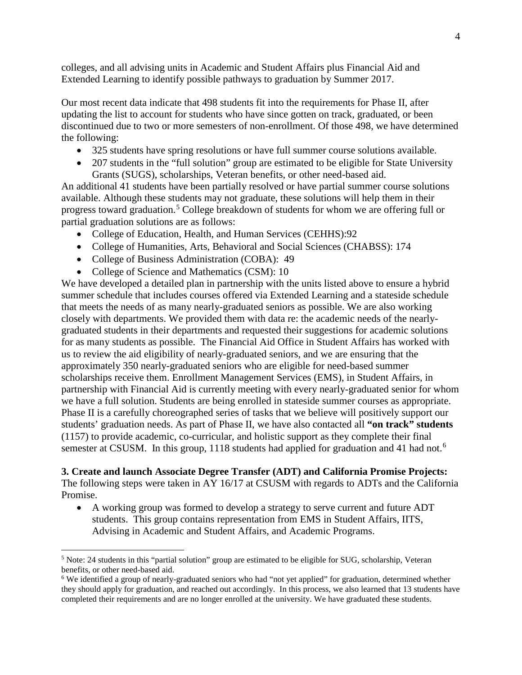colleges, and all advising units in Academic and Student Affairs plus Financial Aid and Extended Learning to identify possible pathways to graduation by Summer 2017.

Our most recent data indicate that 498 students fit into the requirements for Phase II, after updating the list to account for students who have since gotten on track, graduated, or been discontinued due to two or more semesters of non-enrollment. Of those 498, we have determined the following:

- 325 students have spring resolutions or have full summer course solutions available.
- 207 students in the "full solution" group are estimated to be eligible for State University Grants (SUGS), scholarships, Veteran benefits, or other need-based aid.

An additional 41 students have been partially resolved or have partial summer course solutions available. Although these students may not graduate, these solutions will help them in their progress toward graduation.<sup>[5](#page-3-0)</sup> College breakdown of students for whom we are offering full or partial graduation solutions are as follows:

- College of Education, Health, and Human Services (CEHHS):92
- College of Humanities, Arts, Behavioral and Social Sciences (CHABSS): 174
- College of Business Administration (COBA): 49
- College of Science and Mathematics (CSM): 10

We have developed a detailed plan in partnership with the units listed above to ensure a hybrid summer schedule that includes courses offered via Extended Learning and a stateside schedule that meets the needs of as many nearly-graduated seniors as possible. We are also working closely with departments. We provided them with data re: the academic needs of the nearlygraduated students in their departments and requested their suggestions for academic solutions for as many students as possible. The Financial Aid Office in Student Affairs has worked with us to review the aid eligibility of nearly-graduated seniors, and we are ensuring that the approximately 350 nearly-graduated seniors who are eligible for need-based summer scholarships receive them. Enrollment Management Services (EMS), in Student Affairs, in partnership with Financial Aid is currently meeting with every nearly-graduated senior for whom we have a full solution. Students are being enrolled in stateside summer courses as appropriate. Phase II is a carefully choreographed series of tasks that we believe will positively support our students' graduation needs. As part of Phase II, we have also contacted all **"on track" students** (1157) to provide academic, co-curricular, and holistic support as they complete their final semester at CSUSM. In this group, 1118 students had applied for graduation and 41 had not.<sup>[6](#page-3-1)</sup>

# **3. Create and launch Associate Degree Transfer (ADT) and California Promise Projects:**

The following steps were taken in AY 16/17 at CSUSM with regards to ADTs and the California Promise.

• A working group was formed to develop a strategy to serve current and future ADT students. This group contains representation from EMS in Student Affairs, IITS, Advising in Academic and Student Affairs, and Academic Programs.

<span id="page-3-0"></span> <sup>5</sup> Note: 24 students in this "partial solution" group are estimated to be eligible for SUG, scholarship, Veteran benefits, or other need-based aid.

<span id="page-3-1"></span><sup>&</sup>lt;sup>6</sup> We identified a group of nearly-graduated seniors who had "not yet applied" for graduation, determined whether they should apply for graduation, and reached out accordingly. In this process, we also learned that 13 students have completed their requirements and are no longer enrolled at the university. We have graduated these students.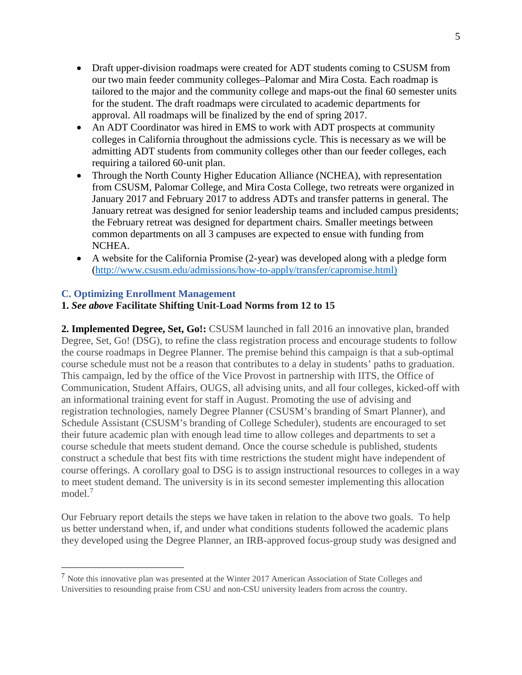- Draft upper-division roadmaps were created for ADT students coming to CSUSM from our two main feeder community colleges–Palomar and Mira Costa. Each roadmap is tailored to the major and the community college and maps-out the final 60 semester units for the student. The draft roadmaps were circulated to academic departments for approval. All roadmaps will be finalized by the end of spring 2017.
- An ADT Coordinator was hired in EMS to work with ADT prospects at community colleges in California throughout the admissions cycle. This is necessary as we will be admitting ADT students from community colleges other than our feeder colleges, each requiring a tailored 60-unit plan.
- Through the North County Higher Education Alliance (NCHEA), with representation from CSUSM, Palomar College, and Mira Costa College, two retreats were organized in January 2017 and February 2017 to address ADTs and transfer patterns in general. The January retreat was designed for senior leadership teams and included campus presidents; the February retreat was designed for department chairs. Smaller meetings between common departments on all 3 campuses are expected to ensue with funding from NCHEA.
- A website for the California Promise (2-year) was developed along with a pledge form [\(http://www.csusm.edu/admissions/how-to-apply/transfer/capromise.html\)](http://www.csusm.edu/admissions/how-to-apply/transfer/capromise.html))

# **C. Optimizing Enrollment Management**

# **1.** *See above* **Facilitate Shifting Unit-Load Norms from 12 to 15**

**2. Implemented Degree, Set, Go!:** CSUSM launched in fall 2016 an innovative plan, branded Degree, Set, Go! (DSG), to refine the class registration process and encourage students to follow the course roadmaps in Degree Planner. The premise behind this campaign is that a sub-optimal course schedule must not be a reason that contributes to a delay in students' paths to graduation. This campaign, led by the office of the Vice Provost in partnership with IITS, the Office of Communication, Student Affairs, OUGS, all advising units, and all four colleges, kicked-off with an informational training event for staff in August. Promoting the use of advising and registration technologies, namely Degree Planner (CSUSM's branding of Smart Planner), and Schedule Assistant (CSUSM's branding of College Scheduler), students are encouraged to set their future academic plan with enough lead time to allow colleges and departments to set a course schedule that meets student demand. Once the course schedule is published, students construct a schedule that best fits with time restrictions the student might have independent of course offerings. A corollary goal to DSG is to assign instructional resources to colleges in a way to meet student demand. The university is in its second semester implementing this allocation model.[7](#page-4-0)

Our February report details the steps we have taken in relation to the above two goals. To help us better understand when, if, and under what conditions students followed the academic plans they developed using the Degree Planner, an IRB-approved focus-group study was designed and

<span id="page-4-0"></span> <sup>7</sup> Note this innovative plan was presented at the Winter 2017 American Association of State Colleges and Universities to resounding praise from CSU and non-CSU university leaders from across the country.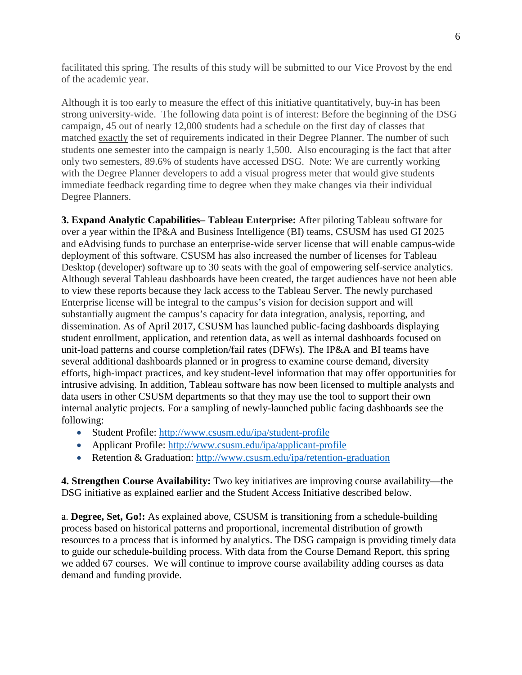facilitated this spring. The results of this study will be submitted to our Vice Provost by the end of the academic year.

Although it is too early to measure the effect of this initiative quantitatively, buy-in has been strong university-wide. The following data point is of interest: Before the beginning of the DSG campaign, 45 out of nearly 12,000 students had a schedule on the first day of classes that matched exactly the set of requirements indicated in their Degree Planner. The number of such students one semester into the campaign is nearly 1,500. Also encouraging is the fact that after only two semesters, 89.6% of students have accessed DSG. Note: We are currently working with the Degree Planner developers to add a visual progress meter that would give students immediate feedback regarding time to degree when they make changes via their individual Degree Planners.

**3. Expand Analytic Capabilities– Tableau Enterprise:** After piloting Tableau software for over a year within the IP&A and Business Intelligence (BI) teams, CSUSM has used GI 2025 and eAdvising funds to purchase an enterprise-wide server license that will enable campus-wide deployment of this software. CSUSM has also increased the number of licenses for Tableau Desktop (developer) software up to 30 seats with the goal of empowering self-service analytics. Although several Tableau dashboards have been created, the target audiences have not been able to view these reports because they lack access to the Tableau Server. The newly purchased Enterprise license will be integral to the campus's vision for decision support and will substantially augment the campus's capacity for data integration, analysis, reporting, and dissemination. As of April 2017, CSUSM has launched public-facing dashboards displaying student enrollment, application, and retention data, as well as internal dashboards focused on unit-load patterns and course completion/fail rates (DFWs). The IP&A and BI teams have several additional dashboards planned or in progress to examine course demand, diversity efforts, high-impact practices, and key student-level information that may offer opportunities for intrusive advising. In addition, Tableau software has now been licensed to multiple analysts and data users in other CSUSM departments so that they may use the tool to support their own internal analytic projects. For a sampling of newly-launched public facing dashboards see the following:

- Student Profile:<http://www.csusm.edu/ipa/student-profile>
- Applicant Profile: <http://www.csusm.edu/ipa/applicant-profile>
- Retention & Graduation: <http://www.csusm.edu/ipa/retention-graduation>

**4. Strengthen Course Availability:** Two key initiatives are improving course availability—the DSG initiative as explained earlier and the Student Access Initiative described below.

a. **Degree, Set, Go!:** As explained above, CSUSM is transitioning from a schedule-building process based on historical patterns and proportional, incremental distribution of growth resources to a process that is informed by analytics. The DSG campaign is providing timely data to guide our schedule-building process. With data from the Course Demand Report, this spring we added 67 courses. We will continue to improve course availability adding courses as data demand and funding provide.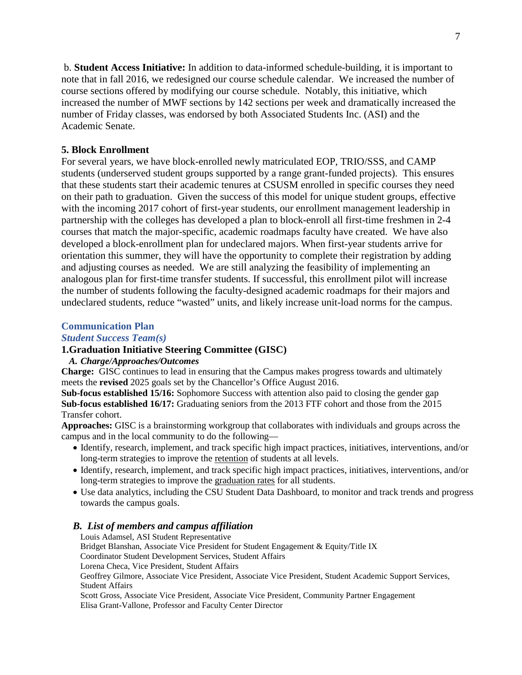b. **Student Access Initiative:** In addition to data-informed schedule-building, it is important to note that in fall 2016, we redesigned our course schedule calendar. We increased the number of course sections offered by modifying our course schedule. Notably, this initiative, which increased the number of MWF sections by 142 sections per week and dramatically increased the number of Friday classes, was endorsed by both Associated Students Inc. (ASI) and the Academic Senate.

# **5. Block Enrollment**

For several years, we have block-enrolled newly matriculated EOP, TRIO/SSS, and CAMP students (underserved student groups supported by a range grant-funded projects). This ensures that these students start their academic tenures at CSUSM enrolled in specific courses they need on their path to graduation. Given the success of this model for unique student groups, effective with the incoming 2017 cohort of first-year students, our enrollment management leadership in partnership with the colleges has developed a plan to block-enroll all first-time freshmen in 2-4 courses that match the major-specific, academic roadmaps faculty have created. We have also developed a block-enrollment plan for undeclared majors. When first-year students arrive for orientation this summer, they will have the opportunity to complete their registration by adding and adjusting courses as needed. We are still analyzing the feasibility of implementing an analogous plan for first-time transfer students. If successful, this enrollment pilot will increase the number of students following the faculty-designed academic roadmaps for their majors and undeclared students, reduce "wasted" units, and likely increase unit-load norms for the campus.

#### **Communication Plan**

#### *Student Success Team(s)*

# **1.Graduation Initiative Steering Committee (GISC)**

### *A. Charge/Approaches/Outcomes*

**Charge:** GISC continues to lead in ensuring that the Campus makes progress towards and ultimately meets the **revised** 2025 goals set by the Chancellor's Office August 2016.

**Sub-focus established 15/16:** Sophomore Success with attention also paid to closing the gender gap **Sub-focus established 16/17:** Graduating seniors from the 2013 FTF cohort and those from the 2015 Transfer cohort.

**Approaches:** GISC is a brainstorming workgroup that collaborates with individuals and groups across the campus and in the local community to do the following—

- Identify, research, implement, and track specific high impact practices, initiatives, interventions, and/or long-term strategies to improve the retention of students at all levels.
- Identify, research, implement, and track specific high impact practices, initiatives, interventions, and/or long-term strategies to improve the graduation rates for all students.
- Use data analytics, including the CSU Student Data Dashboard, to monitor and track trends and progress towards the campus goals.

### *B. List of members and campus affiliation*

Louis Adamsel, ASI Student Representative Bridget Blanshan, Associate Vice President for Student Engagement & Equity/Title IX Coordinator Student Development Services, Student Affairs Lorena Checa, Vice President, Student Affairs Geoffrey Gilmore, Associate Vice President, Associate Vice President, Student Academic Support Services, Student Affairs Scott Gross, Associate Vice President, Associate Vice President, Community Partner Engagement Elisa Grant-Vallone, Professor and Faculty Center Director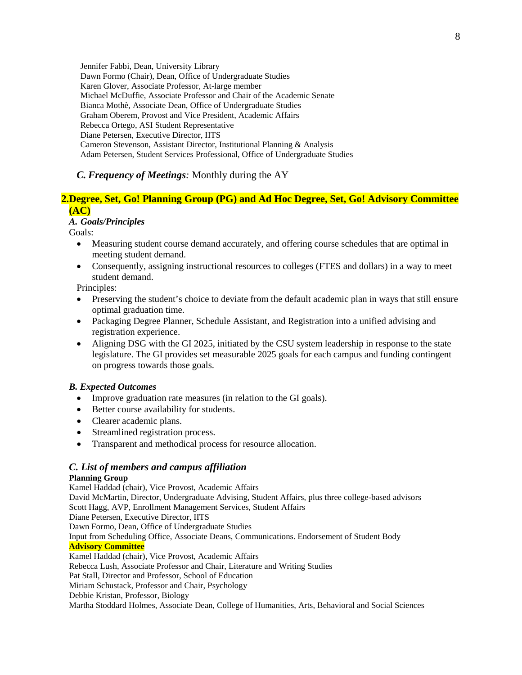Jennifer Fabbi, Dean, University Library Dawn Formo (Chair), Dean, Office of Undergraduate Studies Karen Glover, Associate Professor, At-large member Michael McDuffie, Associate Professor and Chair of the Academic Senate Bianca Mothè, Associate Dean, Office of Undergraduate Studies Graham Oberem, Provost and Vice President, Academic Affairs Rebecca Ortego, ASI Student Representative Diane Petersen, Executive Director, IITS Cameron Stevenson, Assistant Director, Institutional Planning & Analysis Adam Petersen, Student Services Professional, Office of Undergraduate Studies

# *C. Frequency of Meetings:* Monthly during the AY

# **2.Degree, Set, Go! Planning Group (PG) and Ad Hoc Degree, Set, Go! Advisory Committee (AC)**

#### *A. Goals/Principles*

Goals:

- Measuring student course demand accurately, and offering course schedules that are optimal in meeting student demand.
- Consequently, assigning instructional resources to colleges (FTES and dollars) in a way to meet student demand.

Principles:

- Preserving the student's choice to deviate from the default academic plan in ways that still ensure optimal graduation time.
- Packaging Degree Planner, Schedule Assistant, and Registration into a unified advising and registration experience.
- Aligning DSG with the GI 2025, initiated by the CSU system leadership in response to the state legislature. The GI provides set measurable 2025 goals for each campus and funding contingent on progress towards those goals.

#### *B. Expected Outcomes*

- Improve graduation rate measures (in relation to the GI goals).
- Better course availability for students.
- Clearer academic plans.
- Streamlined registration process.
- Transparent and methodical process for resource allocation.

# *C. List of members and campus affiliation*

# **Planning Group**

Kamel Haddad (chair), Vice Provost, Academic Affairs David McMartin, Director, Undergraduate Advising, Student Affairs, plus three college-based advisors Scott Hagg, AVP, Enrollment Management Services, Student Affairs Diane Petersen, Executive Director, IITS Dawn Formo, Dean, Office of Undergraduate Studies Input from Scheduling Office, Associate Deans, Communications. Endorsement of Student Body **Advisory Committee** Kamel Haddad (chair), Vice Provost, Academic Affairs Rebecca Lush, Associate Professor and Chair, Literature and Writing Studies Pat Stall, Director and Professor, School of Education Miriam Schustack, Professor and Chair, Psychology Debbie Kristan, Professor, Biology Martha Stoddard Holmes, Associate Dean, College of Humanities, Arts, Behavioral and Social Sciences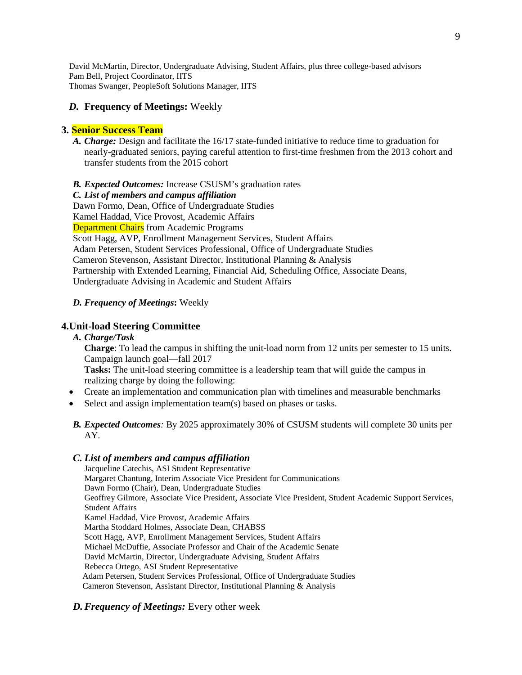David McMartin, Director, Undergraduate Advising, Student Affairs, plus three college-based advisors Pam Bell, Project Coordinator, IITS Thomas Swanger, PeopleSoft Solutions Manager, IITS

# *D.* **Frequency of Meetings:** Weekly

# **3. Senior Success Team**

*A. Charge:* Design and facilitate the 16/17 state-funded initiative to reduce time to graduation for nearly-graduated seniors, paying careful attention to first-time freshmen from the 2013 cohort and transfer students from the 2015 cohort

### *B. Expected Outcomes:* Increase CSUSM's graduation rates

*C. List of members and campus affiliation* Dawn Formo, Dean, Office of Undergraduate Studies Kamel Haddad, Vice Provost, Academic Affairs Department Chairs from Academic Programs Scott Hagg, AVP, Enrollment Management Services, Student Affairs Adam Petersen, Student Services Professional, Office of Undergraduate Studies Cameron Stevenson, Assistant Director, Institutional Planning & Analysis Partnership with Extended Learning, Financial Aid, Scheduling Office, Associate Deans, Undergraduate Advising in Academic and Student Affairs

# *D. Frequency of Meetings***:** Weekly

# **4.Unit-load Steering Committee**

*A. Charge/Task* 

**Charge:** To lead the campus in shifting the unit-load norm from 12 units per semester to 15 units. Campaign launch goal—fall 2017

**Tasks:** The unit-load steering committee is a leadership team that will guide the campus in realizing charge by doing the following:

- Create an implementation and communication plan with timelines and measurable benchmarks
- Select and assign implementation team(s) based on phases or tasks.

# *B. Expected Outcomes:* By 2025 approximately 30% of CSUSM students will complete 30 units per AY.

# *C. List of members and campus affiliation*

Jacqueline Catechis, ASI Student Representative Margaret Chantung, Interim Associate Vice President for Communications Dawn Formo (Chair), Dean, Undergraduate Studies Geoffrey Gilmore, Associate Vice President, Associate Vice President, Student Academic Support Services, Student Affairs Kamel Haddad, Vice Provost, Academic Affairs Martha Stoddard Holmes, Associate Dean, CHABSS Scott Hagg, AVP, Enrollment Management Services, Student Affairs Michael McDuffie, Associate Professor and Chair of the Academic Senate David McMartin, Director, Undergraduate Advising, Student Affairs Rebecca Ortego, ASI Student Representative Adam Petersen, Student Services Professional, Office of Undergraduate Studies Cameron Stevenson, Assistant Director, Institutional Planning & Analysis

# *D.Frequency of Meetings:* Every other week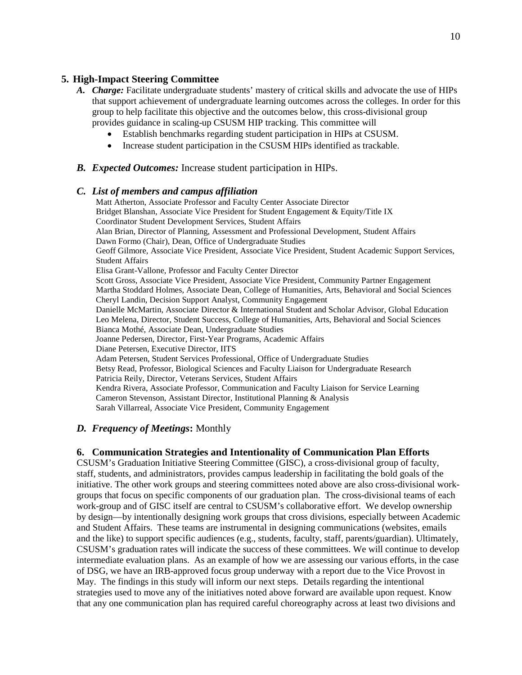# **5. High-Impact Steering Committee**

- *A. Charge:* Facilitate undergraduate students' mastery of critical skills and advocate the use of HIPs that support achievement of undergraduate learning outcomes across the colleges. In order for this group to help facilitate this objective and the outcomes below, this cross-divisional group provides guidance in scaling-up CSUSM HIP tracking. This committee will
	- Establish benchmarks regarding student participation in HIPs at CSUSM.
	- Increase student participation in the CSUSM HIPs identified as trackable.

### *B. Expected Outcomes:* Increase student participation in HIPs.

#### *C. List of members and campus affiliation*

Matt Atherton, Associate Professor and Faculty Center Associate Director Bridget Blanshan, Associate Vice President for Student Engagement & Equity/Title IX Coordinator Student Development Services, Student Affairs Alan Brian, Director of Planning, Assessment and Professional Development, Student Affairs Dawn Formo (Chair), Dean, Office of Undergraduate Studies Geoff Gilmore, Associate Vice President, Associate Vice President, Student Academic Support Services, Student Affairs Elisa Grant-Vallone, Professor and Faculty Center Director Scott Gross, Associate Vice President, Associate Vice President, Community Partner Engagement Martha Stoddard Holmes, Associate Dean, College of Humanities, Arts, Behavioral and Social Sciences Cheryl Landin, Decision Support Analyst, Community Engagement Danielle McMartin, Associate Director & International Student and Scholar Advisor, Global Education Leo Melena, Director, Student Success, College of Humanities, Arts, Behavioral and Social Sciences Bianca Mothé, Associate Dean, Undergraduate Studies Joanne Pedersen, Director, First-Year Programs, Academic Affairs Diane Petersen, Executive Director, IITS Adam Petersen, Student Services Professional, Office of Undergraduate Studies Betsy Read, Professor, Biological Sciences and Faculty Liaison for Undergraduate Research Patricia Reily, Director, Veterans Services, Student Affairs Kendra Rivera, Associate Professor, Communication and Faculty Liaison for Service Learning Cameron Stevenson, Assistant Director, Institutional Planning & Analysis Sarah Villarreal, Associate Vice President, Community Engagement

# *D. Frequency of Meetings***:** Monthly

# **6. Communication Strategies and Intentionality of Communication Plan Efforts**

CSUSM's Graduation Initiative Steering Committee (GISC), a cross-divisional group of faculty, staff, students, and administrators, provides campus leadership in facilitating the bold goals of the initiative. The other work groups and steering committees noted above are also cross-divisional workgroups that focus on specific components of our graduation plan. The cross-divisional teams of each work-group and of GISC itself are central to CSUSM's collaborative effort. We develop ownership by design—by intentionally designing work groups that cross divisions, especially between Academic and Student Affairs. These teams are instrumental in designing communications (websites, emails and the like) to support specific audiences (e.g., students, faculty, staff, parents/guardian). Ultimately, CSUSM's graduation rates will indicate the success of these committees. We will continue to develop intermediate evaluation plans. As an example of how we are assessing our various efforts, in the case of DSG, we have an IRB-approved focus group underway with a report due to the Vice Provost in May. The findings in this study will inform our next steps. Details regarding the intentional strategies used to move any of the initiatives noted above forward are available upon request. Know that any one communication plan has required careful choreography across at least two divisions and